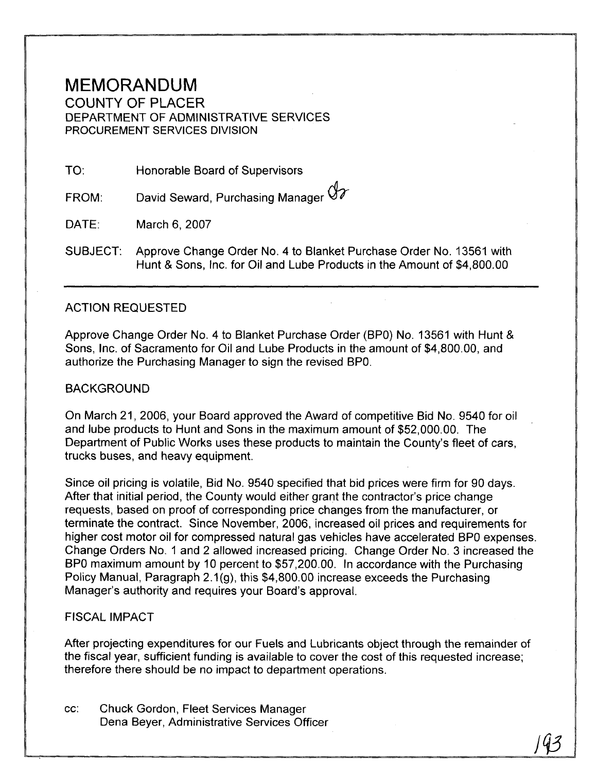## MEMORANDUM

COUNTY OF PLACER DEPARTMENT OF ADMINISTRATIVE SERVICES PROCUREMENT SERVICES DIVISION

TO: Honorable Board of Supervisors

David Seward, Purchasing Manager Or FROM:

DATE: March 6, 2007

SUBJECT: Approve Change Order No. 4 to Blanket Purchase Order No. 13561 with Hunt & Sons, Inc. for Oil and Lube Products in the Amount of \$4,800.00

## ACTION REQUESTED

Approve Change Order No. 4 to Blanket Purchase Order (BPO) No. 13561 with Hunt & Sons, Inc. of Sacramento for Oil and Lube Products in the amount of \$4,800.00, and authorize the Purchasing Manager to sign the revised BPO.

## BACKGROUND

On March 21, 2006, your Board approved the Award of competitive Bid No. 9540 for oil and lube products to Hunt and Sons in the maximum amount of \$52,000.00. The Department of Public Works uses these products to maintain the County's fleet of cars, trucks buses, and heavy equipment.

Since oil pricing is volatile, Bid No. 9540 specified that bid prices were firm for 90 days. After that initial period, the County would either grant the contractor's price change requests, based on proof of corresponding price changes from the manufacturer, or terminate the contract. Since November, 2006, increased oil prices and requirements for higher cost motor oil for compressed natural gas vehicles have accelerated BPO expenses. Change Orders No. 1 and 2 allowed increased pricing. Change Order No. 3 increased the BPO maximum amount by 10 percent to \$57,200.00. In accordance with the Purchasing Policy Manual, Paragraph 2.1(g), this \$4,800.00 increase exceeds the Purchasing Manager's authority and requires your Board's approval.

## FISCAL IMPACT

After projecting expenditures for our Fuels and Lubricants object through the remainder of the fiscal year, sufficient funding is available to cover the cost of this requested increase; therefore there should be no impact to department operations.

cc: Chuck Gordon, Fleet Services Manager Dena Beyer, Administrative Services Officer